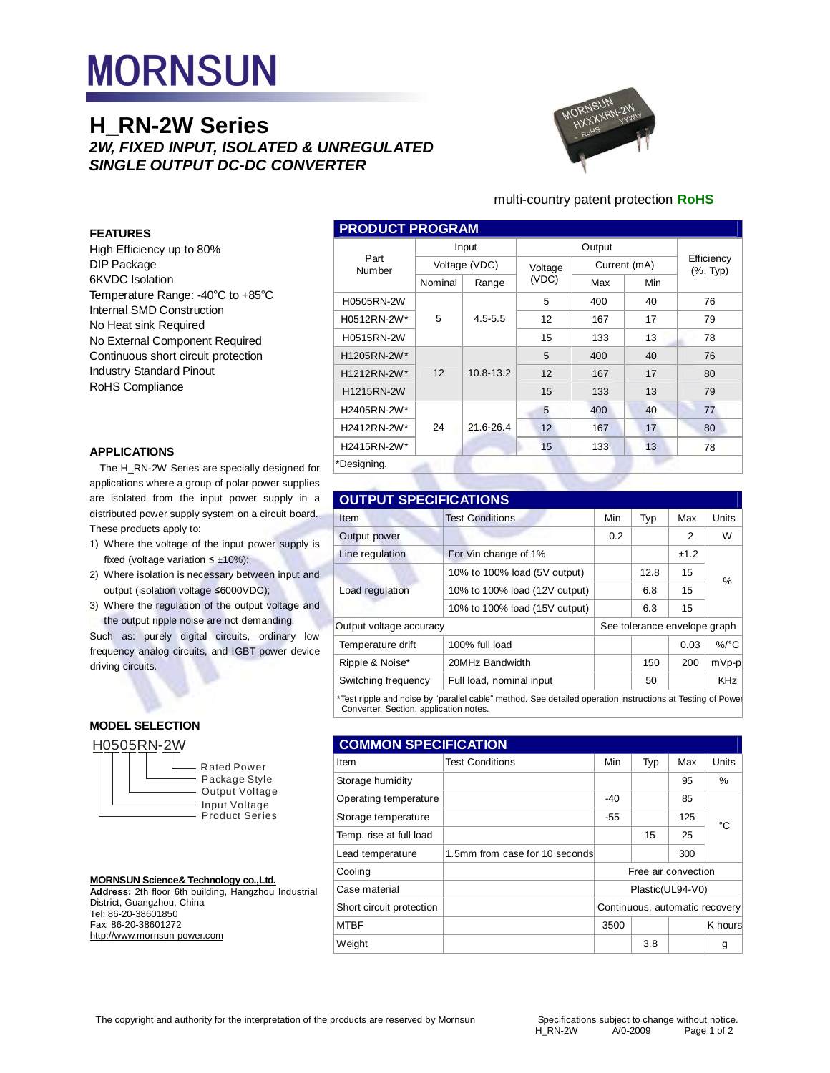# **MORNSUN**

## **H\_RN-2W Series**  *2W, FIXED INPUT, ISOLATED & UNREGULATED SINGLE OUTPUT DC-DC CONVERTER*



## multi-country patent protection **RoHS**

## **FEATURES**

High Efficiency up to 80% DIP Package 6KVDC Isolation Temperature Range: -40°C to +85°C Internal SMD Construction No Heat sink Required No External Component Required Continuous short circuit protection Industry Standard Pinout RoHS Compliance

## **APPLICATIONS**

The H\_RN-2W Series are specially designed for applications where a group of polar power supplies are isolated from the input power supply in a distributed power supply system on a circuit board. These products apply to:

- 1) Where the voltage of the input power supply is fixed (voltage variation  $\leq \pm 10\%$ );
- 2) Where isolation is necessary between input and output (isolation voltage ≤6000VDC);
- 3) Where the regulation of the output voltage and the output ripple noise are not demanding.

Such as: purely digital circuits, ordinary low frequency analog circuits, and IGBT power device driving circuits.

## **MODEL SELECTION**



## **MORNSUN Science& Technology co.,Ltd.**

**Address:** 2th floor 6th building, Hangzhou Industrial District, Guangzhou, China Tel: 86-20-38601850 Fax: 86-20-38601272 <http://www.mornsun-power.com>

| <b>PRODUCT PROGRAM</b> |               |             |         |              |     |                            |
|------------------------|---------------|-------------|---------|--------------|-----|----------------------------|
|                        | Input         |             | Output  |              |     |                            |
| Part<br>Number         | Voltage (VDC) |             | Voltage | Current (mA) |     | Efficiency<br>$(\%$ , Typ) |
|                        | Nominal       | Range       | (VDC)   | Max          | Min |                            |
| H0505RN-2W             |               |             | 5       | 400          | 40  | 76                         |
| H0512RN-2W*            | 5             | $4.5 - 5.5$ | 12      | 167          | 17  | 79                         |
| H0515RN-2W             |               |             | 15      | 133          | 13  | 78                         |
| H1205RN-2W*            |               |             | 5       | 400          | 40  | 76                         |
| H1212RN-2W*            | 12            | 10.8-13.2   | 12      | 167          | 17  | 80                         |
| H1215RN-2W             |               |             | 15      | 133          | 13  | 79                         |
| H2405RN-2W*            |               |             | 5       | 400          | 40  | 77                         |
| H2412RN-2W*            | 24            | 21.6-26.4   | 12      | 167          | 17  | 80                         |
| H2415RN-2W*            |               |             | 15      | 133          | 13  | 78                         |
| *Designing.            |               |             |         |              |     |                            |

## **OUTPUT SPECIFICATIONS**

| Item                                                                                                       | <b>Test Conditions</b>        | Min | Typ                          | Max  | Units      |  |
|------------------------------------------------------------------------------------------------------------|-------------------------------|-----|------------------------------|------|------------|--|
| Output power                                                                                               |                               | 0.2 |                              | 2    | W          |  |
| Line regulation                                                                                            | For Vin change of 1%          |     |                              | ±1.2 |            |  |
|                                                                                                            | 10% to 100% load (5V output)  |     | 12.8                         | 15   | %          |  |
| Load regulation                                                                                            | 10% to 100% load (12V output) |     | 6.8                          | 15   |            |  |
|                                                                                                            | 10% to 100% load (15V output) |     | 6.3                          | 15   |            |  |
| Output voltage accuracy                                                                                    |                               |     | See tolerance envelope graph |      |            |  |
| Temperature drift                                                                                          | 100% full load                |     |                              | 0.03 | $\%$ /°C   |  |
| Ripple & Noise*                                                                                            | 20MHz Bandwidth               |     | 150                          | 200  | $mVp-p$    |  |
| Switching frequency                                                                                        | Full load, nominal input      |     | 50                           |      | <b>KHz</b> |  |
| *Test ripple and noise by "parallel cable" method. See detailed operation instructions at Testing of Powel |                               |     |                              |      |            |  |

Converter. Section, application notes.

| <b>COMMON SPECIFICATION</b> |                                |                                |     |     |         |
|-----------------------------|--------------------------------|--------------------------------|-----|-----|---------|
| Item                        | <b>Test Conditions</b>         | Min                            | Typ | Max | Units   |
| Storage humidity            |                                |                                |     | 95  | %       |
| Operating temperature       |                                | $-40$                          |     | 85  |         |
| Storage temperature         |                                | $-55$                          |     | 125 | °C      |
| Temp. rise at full load     |                                |                                | 15  | 25  |         |
| Lead temperature            | 1.5mm from case for 10 seconds |                                |     | 300 |         |
| Cooling                     |                                | Free air convection            |     |     |         |
| Case material               |                                | Plastic(UL94-V0)               |     |     |         |
| Short circuit protection    |                                | Continuous, automatic recovery |     |     |         |
| <b>MTBF</b>                 |                                | 3500                           |     |     | K hours |
| Weight                      |                                |                                | 3.8 |     | g       |